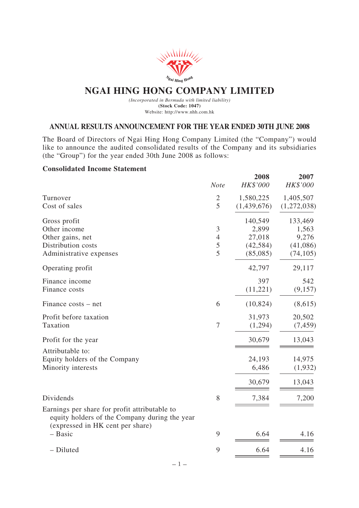

# **NGAI HING HONG COMPANY LIMITED**

*(Incorporated in Bermuda with limited liability)* **(Stock Code: 1047)** Website: http://www.nhh.com.hk

### **ANNUAL RESULTS ANNOUNCEMENT FOR THE YEAR ENDED 30TH JUNE 2008**

The Board of Directors of Ngai Hing Hong Company Limited (the "Company") would like to announce the audited consolidated results of the Company and its subsidiaries (the "Group") for the year ended 30th June 2008 as follows:

### **Consolidated Income Statement**

|                                                                                                                                    | <b>Note</b>    | 2008<br><b>HK\$'000</b> | 2007<br>HK\$'000 |
|------------------------------------------------------------------------------------------------------------------------------------|----------------|-------------------------|------------------|
| Turnover                                                                                                                           | $\mathfrak{2}$ | 1,580,225               | 1,405,507        |
| Cost of sales                                                                                                                      | 5              | (1,439,676)             | (1,272,038)      |
| Gross profit                                                                                                                       |                | 140,549                 | 133,469          |
| Other income                                                                                                                       | 3              | 2,899                   | 1,563            |
| Other gains, net                                                                                                                   | $\overline{4}$ | 27,018                  | 9,276            |
| Distribution costs                                                                                                                 | 5              | (42, 584)               | (41,086)         |
| Administrative expenses                                                                                                            | $\overline{5}$ | (85,085)                | (74, 105)        |
| Operating profit                                                                                                                   |                | 42,797                  | 29,117           |
| Finance income                                                                                                                     |                | 397                     | 542              |
| Finance costs                                                                                                                      |                | (11,221)                | (9,157)          |
| Finance costs – net                                                                                                                | 6              | (10, 824)               | (8,615)          |
| Profit before taxation                                                                                                             |                | 31,973                  | 20,502           |
| Taxation                                                                                                                           | 7              | (1,294)                 | (7, 459)         |
| Profit for the year                                                                                                                |                | 30,679                  | 13,043           |
| Attributable to:                                                                                                                   |                |                         |                  |
| Equity holders of the Company                                                                                                      |                | 24,193                  | 14,975           |
| Minority interests                                                                                                                 |                | 6,486                   | (1,932)          |
|                                                                                                                                    |                | 30,679                  | 13,043           |
| Dividends                                                                                                                          | 8              | 7,384                   | 7,200            |
| Earnings per share for profit attributable to<br>equity holders of the Company during the year<br>(expressed in HK cent per share) |                |                         |                  |
| $-$ Basic                                                                                                                          | 9              | 6.64                    | 4.16             |
| - Diluted                                                                                                                          | 9              | 6.64                    | 4.16             |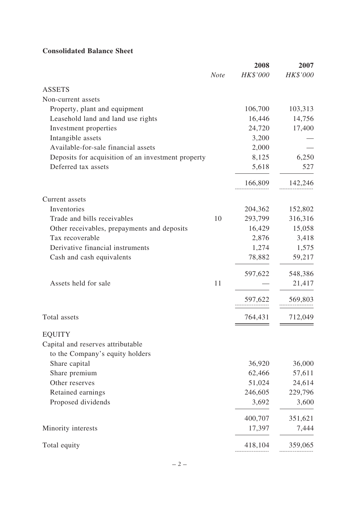## **Consolidated Balance Sheet**

|                                                    |             | 2008     | 2007     |
|----------------------------------------------------|-------------|----------|----------|
|                                                    | <b>Note</b> | HK\$'000 | HK\$'000 |
| <b>ASSETS</b>                                      |             |          |          |
| Non-current assets                                 |             |          |          |
| Property, plant and equipment                      |             | 106,700  | 103,313  |
| Leasehold land and land use rights                 |             | 16,446   | 14,756   |
| Investment properties                              |             | 24,720   | 17,400   |
| Intangible assets                                  |             | 3,200    |          |
| Available-for-sale financial assets                |             | 2,000    |          |
| Deposits for acquisition of an investment property |             | 8,125    | 6,250    |
| Deferred tax assets                                |             | 5,618    | 527      |
|                                                    |             | 166,809  | 142,246  |
| Current assets                                     |             |          |          |
| Inventories                                        |             | 204,362  | 152,802  |
| Trade and bills receivables                        | 10          | 293,799  | 316,316  |
| Other receivables, prepayments and deposits        |             | 16,429   | 15,058   |
| Tax recoverable                                    |             | 2,876    | 3,418    |
| Derivative financial instruments                   |             | 1,274    | 1,575    |
| Cash and cash equivalents                          |             | 78,882   | 59,217   |
|                                                    |             | 597,622  | 548,386  |
| Assets held for sale                               | 11          |          | 21,417   |
|                                                    |             | 597,622  | 569,803  |
| Total assets                                       |             | 764,431  | 712,049  |
| <b>EQUITY</b>                                      |             |          |          |
| Capital and reserves attributable                  |             |          |          |
| to the Company's equity holders                    |             |          |          |
| Share capital                                      |             | 36,920   | 36,000   |
| Share premium                                      |             | 62,466   | 57,611   |
| Other reserves                                     |             | 51,024   | 24,614   |
| Retained earnings                                  |             | 246,605  | 229,796  |
| Proposed dividends                                 |             | 3,692    | 3,600    |
|                                                    |             | 400,707  | 351,621  |
| Minority interests                                 |             | 17,397   | 7,444    |
| Total equity                                       |             | 418,104  | 359,065  |
|                                                    |             |          |          |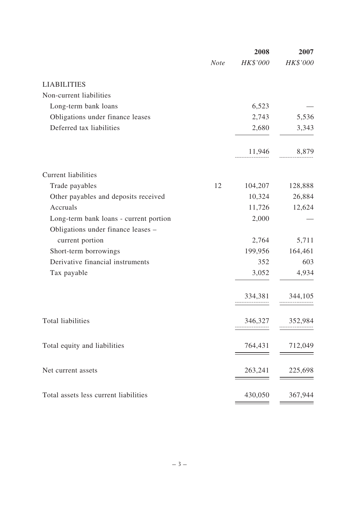|                                        |             | 2008     | 2007     |
|----------------------------------------|-------------|----------|----------|
|                                        | <b>Note</b> | HK\$'000 | HK\$'000 |
| <b>LIABILITIES</b>                     |             |          |          |
| Non-current liabilities                |             |          |          |
| Long-term bank loans                   |             | 6,523    |          |
| Obligations under finance leases       |             | 2,743    | 5,536    |
| Deferred tax liabilities               |             | 2,680    | 3,343    |
|                                        |             | 11,946   | 8,879    |
| <b>Current liabilities</b>             |             |          |          |
| Trade payables                         | 12          | 104,207  | 128,888  |
| Other payables and deposits received   |             | 10,324   | 26,884   |
| Accruals                               |             | 11,726   | 12,624   |
| Long-term bank loans - current portion |             | 2,000    |          |
| Obligations under finance leases -     |             |          |          |
| current portion                        |             | 2,764    | 5,711    |
| Short-term borrowings                  |             | 199,956  | 164,461  |
| Derivative financial instruments       |             | 352      | 603      |
| Tax payable                            |             | 3,052    | 4,934    |
|                                        |             | 334,381  | 344,105  |
| Total liabilities                      |             | 346,327  | 352,984  |
| Total equity and liabilities           |             | 764,431  | 712,049  |
| Net current assets                     |             | 263,241  | 225,698  |
| Total assets less current liabilities  |             | 430,050  | 367,944  |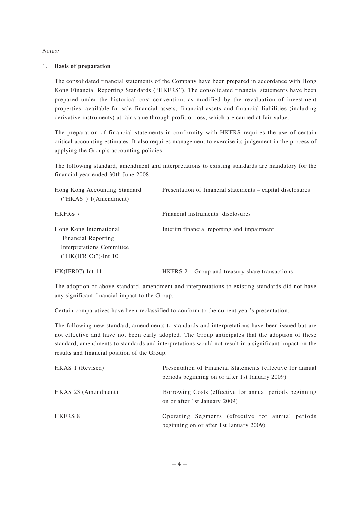#### *Notes:*

#### 1. **Basis of preparation**

The consolidated financial statements of the Company have been prepared in accordance with Hong Kong Financial Reporting Standards ("HKFRS"). The consolidated financial statements have been prepared under the historical cost convention, as modified by the revaluation of investment properties, available-for-sale financial assets, financial assets and financial liabilities (including derivative instruments) at fair value through profit or loss, which are carried at fair value.

The preparation of financial statements in conformity with HKFRS requires the use of certain critical accounting estimates. It also requires management to exercise its judgement in the process of applying the Group's accounting policies.

The following standard, amendment and interpretations to existing standards are mandatory for the financial year ended 30th June 2008:

| Hong Kong Accounting Standard<br>$("HKAS")$ 1(Amendment)                                               | Presentation of financial statements – capital disclosures |
|--------------------------------------------------------------------------------------------------------|------------------------------------------------------------|
| <b>HKFRS 7</b>                                                                                         | Financial instruments: disclosures                         |
| Hong Kong International<br>Financial Reporting<br>Interpretations Committee<br>$("HK(IFRIC)")$ -Int 10 | Interim financial reporting and impairment                 |
| HK(IFRIC)-Int 11                                                                                       | HKFRS 2 – Group and treasury share transactions            |

The adoption of above standard, amendment and interpretations to existing standards did not have any significant financial impact to the Group.

Certain comparatives have been reclassified to conform to the current year's presentation.

The following new standard, amendments to standards and interpretations have been issued but are not effective and have not been early adopted. The Group anticipates that the adoption of these standard, amendments to standards and interpretations would not result in a significant impact on the results and financial position of the Group.

| HKAS 1 (Revised)    | Presentation of Financial Statements (effective for annual<br>periods beginning on or after 1st January 2009) |
|---------------------|---------------------------------------------------------------------------------------------------------------|
| HKAS 23 (Amendment) | Borrowing Costs (effective for annual periods beginning<br>on or after 1st January 2009)                      |
| <b>HKFRS 8</b>      | Operating Segments (effective for annual periods<br>beginning on or after 1st January 2009)                   |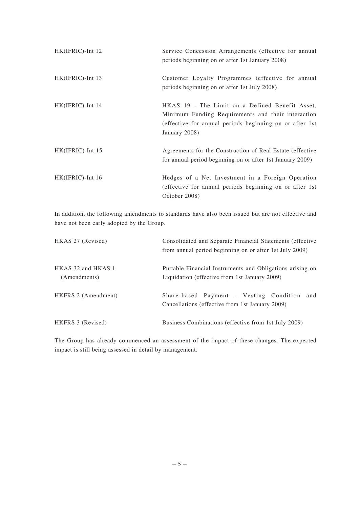| HK(IFRIC)-Int 12    | Service Concession Arrangements (effective for annual<br>periods beginning on or after 1st January 2008)                                                                          |
|---------------------|-----------------------------------------------------------------------------------------------------------------------------------------------------------------------------------|
| HK(IFRIC)-Int 13    | Customer Loyalty Programmes (effective for annual<br>periods beginning on or after 1st July 2008)                                                                                 |
| HK(IFRIC)-Int 14    | HKAS 19 - The Limit on a Defined Benefit Asset,<br>Minimum Funding Requirements and their interaction<br>(effective for annual periods beginning on or after 1st<br>January 2008) |
| $HK(IFRIC)$ -Int 15 | Agreements for the Construction of Real Estate (effective)<br>for annual period beginning on or after 1st January 2009)                                                           |
| $HK(IFRIC)$ -Int 16 | Hedges of a Net Investment in a Foreign Operation<br>(effective for annual periods beginning on or after 1st<br>October 2008)                                                     |

In addition, the following amendments to standards have also been issued but are not effective and have not been early adopted by the Group.

| HKAS 27 (Revised)                  | Consolidated and Separate Financial Statements (effective<br>from annual period beginning on or after 1st July 2009) |  |  |
|------------------------------------|----------------------------------------------------------------------------------------------------------------------|--|--|
| HKAS 32 and HKAS 1<br>(Amendments) | Puttable Financial Instruments and Obligations arising on<br>Liquidation (effective from 1st January 2009)           |  |  |
| HKFRS 2 (Amendment)                | Share-based Payment - Vesting Condition<br>and<br>Cancellations (effective from 1st January 2009)                    |  |  |
| HKFRS 3 (Revised)                  | Business Combinations (effective from 1st July 2009)                                                                 |  |  |

The Group has already commenced an assessment of the impact of these changes. The expected impact is still being assessed in detail by management.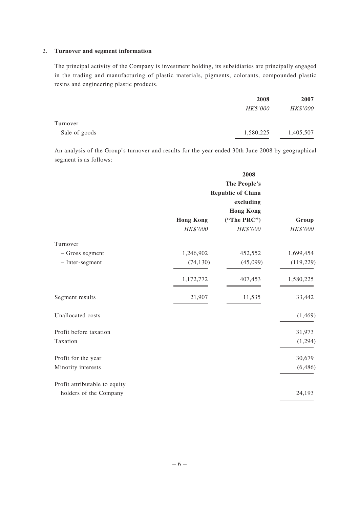#### 2. **Turnover and segment information**

The principal activity of the Company is investment holding, its subsidiaries are principally engaged in the trading and manufacturing of plastic materials, pigments, colorants, compounded plastic resins and engineering plastic products.

|               | 2008      | 2007      |
|---------------|-----------|-----------|
|               | HK\$'000  | HK\$'000  |
| Turnover      |           |           |
| Sale of goods | 1,580,225 | 1,405,507 |

An analysis of the Group's turnover and results for the year ended 30th June 2008 by geographical segment is as follows:

|                               |                          | 2008             |            |
|-------------------------------|--------------------------|------------------|------------|
|                               |                          | The People's     |            |
|                               | <b>Republic of China</b> |                  |            |
|                               |                          | excluding        |            |
|                               |                          | <b>Hong Kong</b> |            |
|                               | <b>Hong Kong</b>         | ("The PRC")      | Group      |
|                               | HK\$'000                 | HK\$'000         | HK\$'000   |
| Turnover                      |                          |                  |            |
| - Gross segment               | 1,246,902                | 452,552          | 1,699,454  |
| - Inter-segment               | (74, 130)                | (45,099)         | (119, 229) |
|                               | 1,172,772                | 407,453          | 1,580,225  |
| Segment results               | 21,907                   | 11,535           | 33,442     |
| Unallocated costs             |                          |                  | (1,469)    |
| Profit before taxation        |                          |                  | 31,973     |
| Taxation                      |                          |                  | (1,294)    |
| Profit for the year           |                          |                  | 30,679     |
| Minority interests            |                          |                  | (6, 486)   |
| Profit attributable to equity |                          |                  |            |
| holders of the Company        |                          |                  | 24,193     |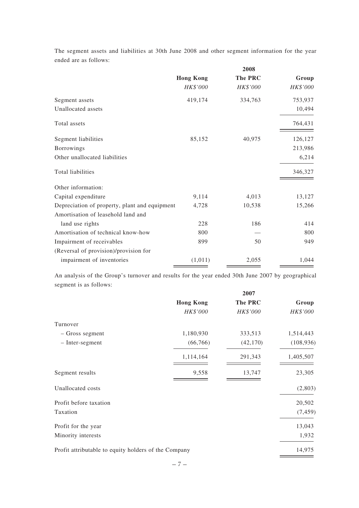The segment assets and liabilities at 30th June 2008 and other segment information for the year ended are as follows:

|                                               | 2008             |          |          |
|-----------------------------------------------|------------------|----------|----------|
|                                               | <b>Hong Kong</b> | The PRC  | Group    |
|                                               | HK\$'000         | HK\$'000 | HK\$'000 |
| Segment assets                                | 419,174          | 334,763  | 753,937  |
| Unallocated assets                            |                  |          | 10,494   |
| Total assets                                  |                  |          | 764,431  |
| Segment liabilities                           | 85,152           | 40,975   | 126,127  |
| Borrowings                                    |                  |          | 213,986  |
| Other unallocated liabilities                 |                  |          | 6,214    |
| Total liabilities                             |                  |          | 346,327  |
| Other information:                            |                  |          |          |
| Capital expenditure                           | 9,114            | 4,013    | 13,127   |
| Depreciation of property, plant and equipment | 4,728            | 10,538   | 15,266   |
| Amortisation of leasehold land and            |                  |          |          |
| land use rights                               | 228              | 186      | 414      |
| Amortisation of technical know-how            | 800              |          | 800      |
| Impairment of receivables                     | 899              | 50       | 949      |
| (Reversal of provision)/provision for         |                  |          |          |
| impairment of inventories                     | (1,011)          | 2,055    | 1,044    |

An analysis of the Group's turnover and results for the year ended 30th June 2007 by geographical segment is as follows:

|                                                      |                  | 2007      |            |
|------------------------------------------------------|------------------|-----------|------------|
|                                                      | <b>Hong Kong</b> | The PRC   | Group      |
|                                                      | HK\$'000         | HK\$'000  | HK\$'000   |
| Turnover                                             |                  |           |            |
| - Gross segment                                      | 1,180,930        | 333,513   | 1,514,443  |
| - Inter-segment                                      | (66, 766)        | (42, 170) | (108, 936) |
|                                                      | 1,114,164        | 291,343   | 1,405,507  |
| Segment results                                      | 9,558            | 13,747    | 23,305     |
| Unallocated costs                                    |                  |           | (2,803)    |
| Profit before taxation                               |                  |           | 20,502     |
| Taxation                                             |                  |           | (7, 459)   |
| Profit for the year                                  |                  |           | 13,043     |
| Minority interests                                   |                  |           | 1,932      |
| Profit attributable to equity holders of the Company |                  |           | 14,975     |
|                                                      |                  |           |            |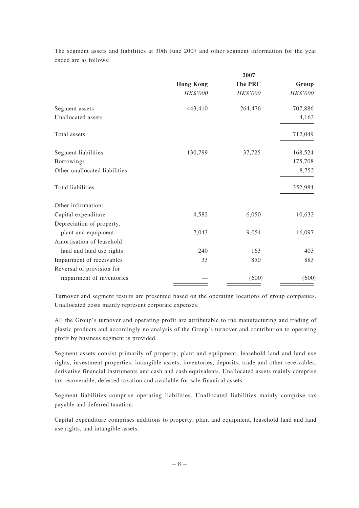The segment assets and liabilities at 30th June 2007 and other segment information for the year ended are as follows:

|                               | 2007             |                |          |
|-------------------------------|------------------|----------------|----------|
|                               | <b>Hong Kong</b> | <b>The PRC</b> | Group    |
|                               | HK\$'000         | HK\$'000       | HK\$'000 |
| Segment assets                | 443,410          | 264,476        | 707,886  |
| Unallocated assets            |                  |                | 4,163    |
| Total assets                  |                  |                | 712,049  |
| Segment liabilities           | 130,799          | 37,725         | 168,524  |
| Borrowings                    |                  |                | 175,708  |
| Other unallocated liabilities |                  |                | 8,752    |
| Total liabilities             |                  |                | 352,984  |
| Other information:            |                  |                |          |
| Capital expenditure           | 4,582            | 6,050          | 10,632   |
| Depreciation of property,     |                  |                |          |
| plant and equipment           | 7,043            | 9,054          | 16,097   |
| Amortisation of leasehold     |                  |                |          |
| land and land use rights      | 240              | 163            | 403      |
| Impairment of receivables     | 33               | 850            | 883      |
| Reversal of provision for     |                  |                |          |
| impairment of inventories     |                  | (600)          | (600)    |

Turnover and segment results are presented based on the operating locations of group companies. Unallocated costs mainly represent corporate expenses.

All the Group's turnover and operating profit are attributable to the manufacturing and trading of plastic products and accordingly no analysis of the Group's turnover and contribution to operating profit by business segment is provided.

Segment assets consist primarily of property, plant and equipment, leasehold land and land use rights, investment properties, intangible assets, inventories, deposits, trade and other receivables, derivative financial instruments and cash and cash equivalents. Unallocated assets mainly comprise tax recoverable, deferred taxation and available-for-sale finanical assets.

Segment liabilities comprise operating liabilities. Unallocated liabilities mainly comprise tax payable and deferred taxation.

Capital expenditure comprises additions to property, plant and equipment, leasehold land and land use rights, and intangible assets.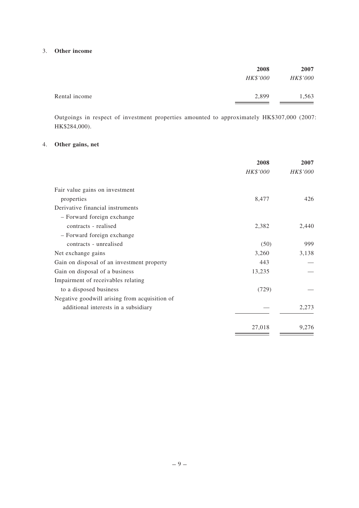#### 3. **Other income**

|               | 2008<br>HK\$'000 | 2007<br>HK\$'000 |
|---------------|------------------|------------------|
| Rental income | 2,899            | 1,563            |

Outgoings in respect of investment properties amounted to approximately HK\$307,000 (2007: HK\$284,000).

## 4. **Other gains, net**

|                                               | 2008<br>HK\$'000 | 2007<br>HK\$'000 |
|-----------------------------------------------|------------------|------------------|
|                                               |                  |                  |
| Fair value gains on investment                |                  |                  |
| properties                                    | 8,477            | 426              |
| Derivative financial instruments              |                  |                  |
| - Forward foreign exchange                    |                  |                  |
| contracts - realised                          | 2,382            | 2,440            |
| - Forward foreign exchange                    |                  |                  |
| contracts - unrealised                        | (50)             | 999              |
| Net exchange gains                            | 3,260            | 3,138            |
| Gain on disposal of an investment property    | 443              |                  |
| Gain on disposal of a business                | 13,235           |                  |
| Impairment of receivables relating            |                  |                  |
| to a disposed business                        | (729)            |                  |
| Negative goodwill arising from acquisition of |                  |                  |
| additional interests in a subsidiary          |                  | 2,273            |
|                                               | 27,018           | 9,276            |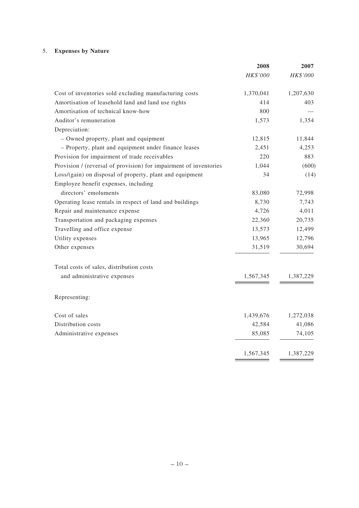## 5. **Expenses by Nature**

|                                                                   | 2008      | 2007      |
|-------------------------------------------------------------------|-----------|-----------|
|                                                                   | HK\$'000  | HK\$'000  |
| Cost of inventories sold excluding manufacturing costs            | 1,370,041 | 1,207,630 |
| Amortisation of leasehold land and land use rights                | 414       | 403       |
| Amortisation of technical know-how                                | 800       |           |
| Auditor's remuneration                                            | 1,573     | 1,354     |
| Depreciation:                                                     |           |           |
| - Owned property, plant and equipment                             | 12,815    | 11,844    |
| - Property, plant and equipment under finance leases              | 2,451     | 4,253     |
| Provision for impairment of trade receivables                     | 220       | 883       |
| Provision / (reversal of provision) for impairment of inventories | 1,044     | (600)     |
| Loss/(gain) on disposal of property, plant and equipment          | 34        | (14)      |
| Employee benefit expenses, including                              |           |           |
| directors' emoluments                                             | 83,080    | 72,998    |
| Operating lease rentals in respect of land and buildings          | 8,730     | 7,743     |
| Repair and maintenance expense                                    | 4,726     | 4,011     |
| Transportation and packaging expenses                             | 22,360    | 20,735    |
| Travelling and office expense                                     | 13,573    | 12,499    |
| Utility expenses                                                  | 13,965    | 12,796    |
| Other expenses                                                    | 31,519    | 30,694    |
| Total costs of sales, distribution costs                          |           |           |
| and administrative expenses                                       | 1,567,345 | 1,387,229 |
| Representing:                                                     |           |           |
| Cost of sales                                                     | 1,439,676 | 1,272,038 |
| Distribution costs                                                | 42,584    | 41,086    |
| Administrative expenses                                           | 85,085    | 74,105    |
|                                                                   | 1,567,345 | 1,387,229 |
|                                                                   |           |           |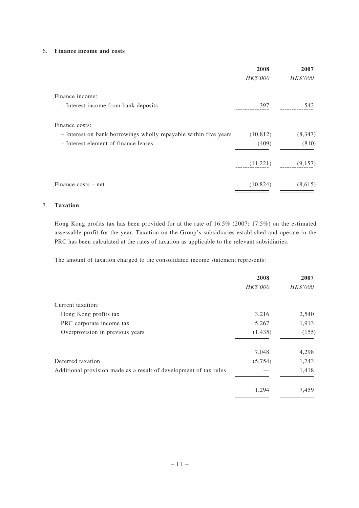#### 6. **Finance income and costs**

|                                                                  | 2008      | 2007     |
|------------------------------------------------------------------|-----------|----------|
|                                                                  | HK\$'000  | HK\$'000 |
| Finance income:                                                  |           |          |
| - Interest income from bank deposits                             | 397       | 542      |
| Finance costs:                                                   |           |          |
| - Interest on bank borrowings wholly repayable within five years | (10, 812) | (8, 347) |
| - Interest element of finance leases                             | (409)     | (810)    |
|                                                                  | (11,221)  | (9,157)  |
| Finance costs – net                                              | (10, 824) | (8,615)  |

#### 7. **Taxation**

Hong Kong profits tax has been provided for at the rate of 16.5% (2007: 17.5%) on the estimated assessable profit for the year. Taxation on the Group's subsidiaries established and operate in the PRC has been calculated at the rates of taxation as applicable to the relevant subsidiaries.

The amount of taxation charged to the consolidated income statement represents:

| 2008     | 2007     |
|----------|----------|
| HK\$'000 | HK\$'000 |
|          |          |
| 3,216    | 2,540    |
| 5,267    | 1,913    |
| (1, 435) | (155)    |
| 7,048    | 4,298    |
| (5,754)  | 1,743    |
|          | 1,418    |
| 1,294    | 7,459    |
|          |          |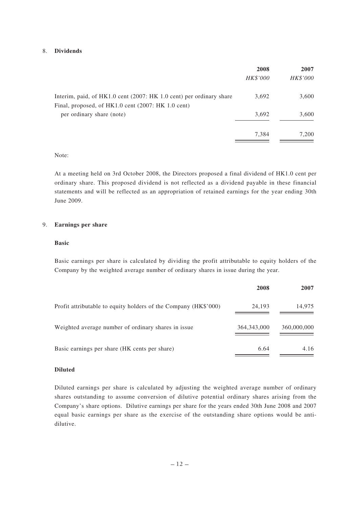#### 8. **Dividends**

|                                                                                                                           | 2008<br>HK\$'000 | 2007<br>HK\$'000 |
|---------------------------------------------------------------------------------------------------------------------------|------------------|------------------|
| Interim, paid, of HK1.0 cent (2007: HK 1.0 cent) per ordinary share<br>Final, proposed, of HK1.0 cent (2007: HK 1.0 cent) | 3,692            | 3,600            |
| per ordinary share (note)                                                                                                 | 3,692            | 3,600            |
|                                                                                                                           | 7.384            | 7,200            |

#### Note:

At a meeting held on 3rd October 2008, the Directors proposed a final dividend of HK1.0 cent per ordinary share. This proposed dividend is not reflected as a dividend payable in these financial statements and will be reflected as an appropriation of retained earnings for the year ending 30th June 2009.

#### 9. **Earnings per share**

#### **Basic**

Basic earnings per share is calculated by dividing the profit attributable to equity holders of the Company by the weighted average number of ordinary shares in issue during the year.

|                                                                 | 2008          | 2007        |
|-----------------------------------------------------------------|---------------|-------------|
| Profit attributable to equity holders of the Company (HK\$'000) | 24.193        | 14,975      |
| Weighted average number of ordinary shares in issue             | 364, 343, 000 | 360,000,000 |
| Basic earnings per share (HK cents per share)                   | 6.64          | 4.16        |

#### **Diluted**

Diluted earnings per share is calculated by adjusting the weighted average number of ordinary shares outstanding to assume conversion of dilutive potential ordinary shares arising from the Company's share options. Dilutive earnings per share for the years ended 30th June 2008 and 2007 equal basic earnings per share as the exercise of the outstanding share options would be antidilutive.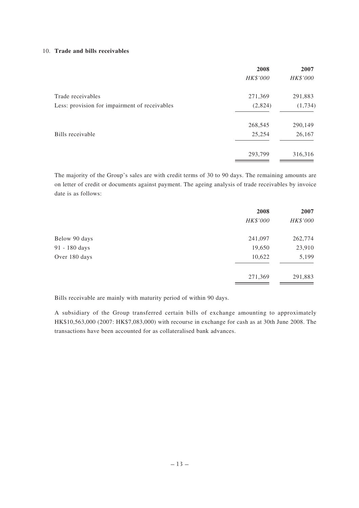#### 10. **Trade and bills receivables**

| 2008     | 2007     |
|----------|----------|
| HK\$'000 | HK\$'000 |
| 271,369  | 291,883  |
| (2,824)  | (1,734)  |
| 268,545  | 290,149  |
| 25,254   | 26,167   |
| 293,799  | 316,316  |
|          |          |

The majority of the Group's sales are with credit terms of 30 to 90 days. The remaining amounts are on letter of credit or documents against payment. The ageing analysis of trade receivables by invoice date is as follows:

|               | 2008     | 2007     |
|---------------|----------|----------|
|               | HK\$'000 | HK\$'000 |
| Below 90 days | 241,097  | 262,774  |
| 91 - 180 days | 19,650   | 23,910   |
| Over 180 days | 10,622   | 5,199    |
|               | 271,369  | 291,883  |

Bills receivable are mainly with maturity period of within 90 days.

A subsidiary of the Group transferred certain bills of exchange amounting to approximately HK\$10,563,000 (2007: HK\$7,083,000) with recourse in exchange for cash as at 30th June 2008. The transactions have been accounted for as collateralised bank advances.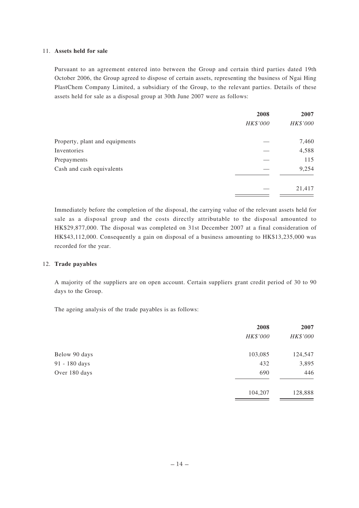#### 11. **Assets held for sale**

Pursuant to an agreement entered into between the Group and certain third parties dated 19th October 2006, the Group agreed to dispose of certain assets, representing the business of Ngai Hing PlastChem Company Limited, a subsidiary of the Group, to the relevant parties. Details of these assets held for sale as a disposal group at 30th June 2007 were as follows:

|                                | 2008     | 2007     |
|--------------------------------|----------|----------|
|                                | HK\$'000 | HK\$'000 |
| Property, plant and equipments |          | 7,460    |
| Inventories                    |          | 4,588    |
| Prepayments                    |          | 115      |
| Cash and cash equivalents      |          | 9,254    |
|                                |          | 21,417   |

Immediately before the completion of the disposal, the carrying value of the relevant assets held for sale as a disposal group and the costs directly attributable to the disposal amounted to HK\$29,877,000. The disposal was completed on 31st December 2007 at a final consideration of HK\$43,112,000. Consequently a gain on disposal of a business amounting to HK\$13,235,000 was recorded for the year.

#### 12. **Trade payables**

A majority of the suppliers are on open account. Certain suppliers grant credit period of 30 to 90 days to the Group.

The ageing analysis of the trade payables is as follows:

|               | 2008     | 2007     |
|---------------|----------|----------|
|               | HK\$'000 | HK\$'000 |
| Below 90 days | 103,085  | 124,547  |
| 91 - 180 days | 432      | 3,895    |
| Over 180 days | 690      | 446      |
|               | 104,207  | 128,888  |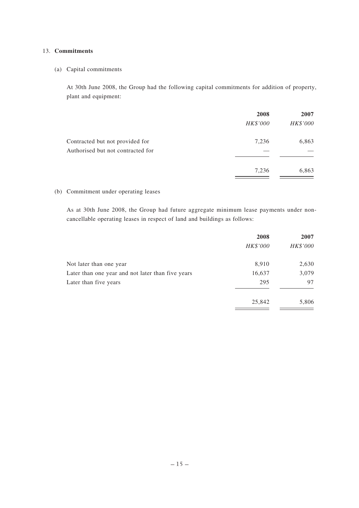#### 13. **Commitments**

(a) Capital commitments

At 30th June 2008, the Group had the following capital commitments for addition of property, plant and equipment:

|                                                                      | 2008<br>HK\$'000 | 2007<br>HK\$'000 |
|----------------------------------------------------------------------|------------------|------------------|
| Contracted but not provided for<br>Authorised but not contracted for | 7,236            | 6,863            |
|                                                                      | 7,236            | 6,863            |

### (b) Commitment under operating leases

As at 30th June 2008, the Group had future aggregate minimum lease payments under noncancellable operating leases in respect of land and buildings as follows:

|                                                   | 2008     | 2007     |
|---------------------------------------------------|----------|----------|
|                                                   | HK\$'000 | HK\$'000 |
| Not later than one year                           | 8,910    | 2,630    |
| Later than one year and not later than five years | 16,637   | 3,079    |
| Later than five years                             | 295      | 97       |
|                                                   | 25,842   | 5,806    |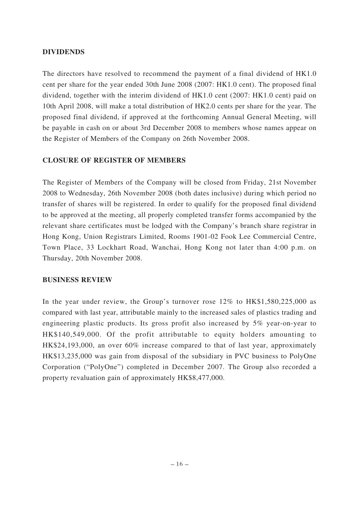### **DIVIDENDS**

The directors have resolved to recommend the payment of a final dividend of HK1.0 cent per share for the year ended 30th June 2008 (2007: HK1.0 cent). The proposed final dividend, together with the interim dividend of HK1.0 cent (2007: HK1.0 cent) paid on 10th April 2008, will make a total distribution of HK2.0 cents per share for the year. The proposed final dividend, if approved at the forthcoming Annual General Meeting, will be payable in cash on or about 3rd December 2008 to members whose names appear on the Register of Members of the Company on 26th November 2008.

### **CLOSURE OF REGISTER OF MEMBERS**

The Register of Members of the Company will be closed from Friday, 21st November 2008 to Wednesday, 26th November 2008 (both dates inclusive) during which period no transfer of shares will be registered. In order to qualify for the proposed final dividend to be approved at the meeting, all properly completed transfer forms accompanied by the relevant share certificates must be lodged with the Company's branch share registrar in Hong Kong, Union Registrars Limited, Rooms 1901-02 Fook Lee Commercial Centre, Town Place, 33 Lockhart Road, Wanchai, Hong Kong not later than 4:00 p.m. on Thursday, 20th November 2008.

### **BUSINESS REVIEW**

In the year under review, the Group's turnover rose 12% to HK\$1,580,225,000 as compared with last year, attributable mainly to the increased sales of plastics trading and engineering plastic products. Its gross profit also increased by 5% year-on-year to HK\$140,549,000. Of the profit attributable to equity holders amounting to HK\$24,193,000, an over 60% increase compared to that of last year, approximately HK\$13,235,000 was gain from disposal of the subsidiary in PVC business to PolyOne Corporation ("PolyOne") completed in December 2007. The Group also recorded a property revaluation gain of approximately HK\$8,477,000.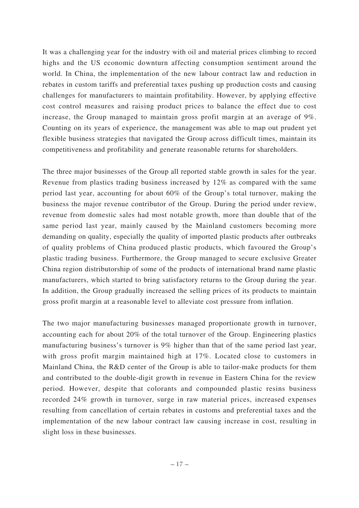It was a challenging year for the industry with oil and material prices climbing to record highs and the US economic downturn affecting consumption sentiment around the world. In China, the implementation of the new labour contract law and reduction in rebates in custom tariffs and preferential taxes pushing up production costs and causing challenges for manufacturers to maintain profitability. However, by applying effective cost control measures and raising product prices to balance the effect due to cost increase, the Group managed to maintain gross profit margin at an average of 9%. Counting on its years of experience, the management was able to map out prudent yet flexible business strategies that navigated the Group across difficult times, maintain its competitiveness and profitability and generate reasonable returns for shareholders.

The three major businesses of the Group all reported stable growth in sales for the year. Revenue from plastics trading business increased by 12% as compared with the same period last year, accounting for about 60% of the Group's total turnover, making the business the major revenue contributor of the Group. During the period under review, revenue from domestic sales had most notable growth, more than double that of the same period last year, mainly caused by the Mainland customers becoming more demanding on quality, especially the quality of imported plastic products after outbreaks of quality problems of China produced plastic products, which favoured the Group's plastic trading business. Furthermore, the Group managed to secure exclusive Greater China region distributorship of some of the products of international brand name plastic manufacturers, which started to bring satisfactory returns to the Group during the year. In addition, the Group gradually increased the selling prices of its products to maintain gross profit margin at a reasonable level to alleviate cost pressure from inflation.

The two major manufacturing businesses managed proportionate growth in turnover, accounting each for about 20% of the total turnover of the Group. Engineering plastics manufacturing business's turnover is 9% higher than that of the same period last year, with gross profit margin maintained high at 17%. Located close to customers in Mainland China, the R&D center of the Group is able to tailor-make products for them and contributed to the double-digit growth in revenue in Eastern China for the review period. However, despite that colorants and compounded plastic resins business recorded 24% growth in turnover, surge in raw material prices, increased expenses resulting from cancellation of certain rebates in customs and preferential taxes and the implementation of the new labour contract law causing increase in cost, resulting in slight loss in these businesses.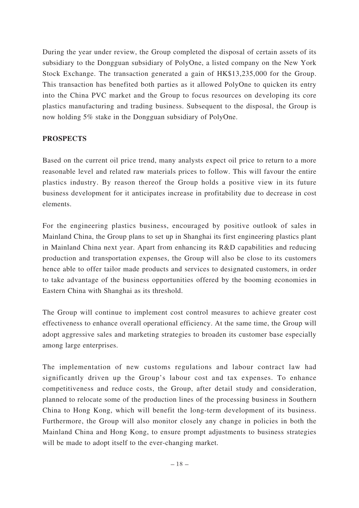During the year under review, the Group completed the disposal of certain assets of its subsidiary to the Dongguan subsidiary of PolyOne, a listed company on the New York Stock Exchange. The transaction generated a gain of HK\$13,235,000 for the Group. This transaction has benefited both parties as it allowed PolyOne to quicken its entry into the China PVC market and the Group to focus resources on developing its core plastics manufacturing and trading business. Subsequent to the disposal, the Group is now holding 5% stake in the Dongguan subsidiary of PolyOne.

### **PROSPECTS**

Based on the current oil price trend, many analysts expect oil price to return to a more reasonable level and related raw materials prices to follow. This will favour the entire plastics industry. By reason thereof the Group holds a positive view in its future business development for it anticipates increase in profitability due to decrease in cost elements.

For the engineering plastics business, encouraged by positive outlook of sales in Mainland China, the Group plans to set up in Shanghai its first engineering plastics plant in Mainland China next year. Apart from enhancing its R&D capabilities and reducing production and transportation expenses, the Group will also be close to its customers hence able to offer tailor made products and services to designated customers, in order to take advantage of the business opportunities offered by the booming economies in Eastern China with Shanghai as its threshold.

The Group will continue to implement cost control measures to achieve greater cost effectiveness to enhance overall operational efficiency. At the same time, the Group will adopt aggressive sales and marketing strategies to broaden its customer base especially among large enterprises.

The implementation of new customs regulations and labour contract law had significantly driven up the Group's labour cost and tax expenses. To enhance competitiveness and reduce costs, the Group, after detail study and consideration, planned to relocate some of the production lines of the processing business in Southern China to Hong Kong, which will benefit the long-term development of its business. Furthermore, the Group will also monitor closely any change in policies in both the Mainland China and Hong Kong, to ensure prompt adjustments to business strategies will be made to adopt itself to the ever-changing market.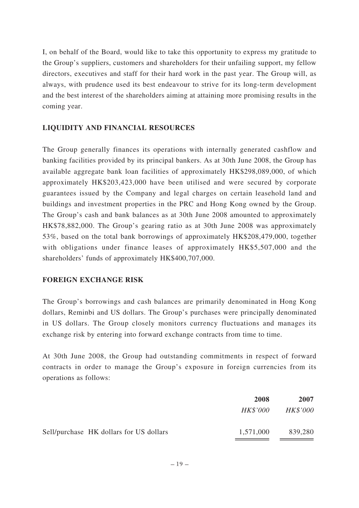I, on behalf of the Board, would like to take this opportunity to express my gratitude to the Group's suppliers, customers and shareholders for their unfailing support, my fellow directors, executives and staff for their hard work in the past year. The Group will, as always, with prudence used its best endeavour to strive for its long-term development and the best interest of the shareholders aiming at attaining more promising results in the coming year.

### **LIQUIDITY AND FINANCIAL RESOURCES**

The Group generally finances its operations with internally generated cashflow and banking facilities provided by its principal bankers. As at 30th June 2008, the Group has available aggregate bank loan facilities of approximately HK\$298,089,000, of which approximately HK\$203,423,000 have been utilised and were secured by corporate guarantees issued by the Company and legal charges on certain leasehold land and buildings and investment properties in the PRC and Hong Kong owned by the Group. The Group's cash and bank balances as at 30th June 2008 amounted to approximately HK\$78,882,000. The Group's gearing ratio as at 30th June 2008 was approximately 53%, based on the total bank borrowings of approximately HK\$208,479,000, together with obligations under finance leases of approximately HK\$5,507,000 and the shareholders' funds of approximately HK\$400,707,000.

### **FOREIGN EXCHANGE RISK**

The Group's borrowings and cash balances are primarily denominated in Hong Kong dollars, Reminbi and US dollars. The Group's purchases were principally denominated in US dollars. The Group closely monitors currency fluctuations and manages its exchange risk by entering into forward exchange contracts from time to time.

At 30th June 2008, the Group had outstanding commitments in respect of forward contracts in order to manage the Group's exposure in foreign currencies from its operations as follows:

|                                         | 2008      | 2007            |
|-----------------------------------------|-----------|-----------------|
|                                         | HK\$'000  | <b>HK\$'000</b> |
| Sell/purchase HK dollars for US dollars | 1,571,000 | 839,280         |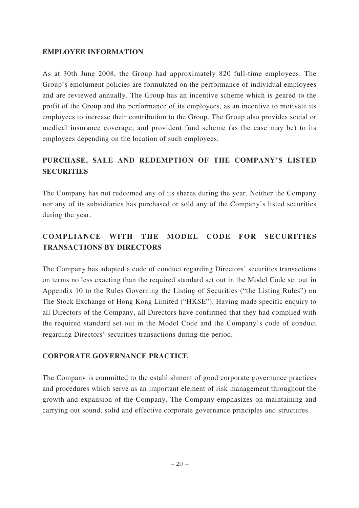### **EMPLOYEE INFORMATION**

As at 30th June 2008, the Group had approximately 820 full-time employees. The Group's emolument policies are formulated on the performance of individual employees and are reviewed annually. The Group has an incentive scheme which is geared to the profit of the Group and the performance of its employees, as an incentive to motivate its employees to increase their contribution to the Group. The Group also provides social or medical insurance coverage, and provident fund scheme (as the case may be) to its employees depending on the location of such employees.

## **PURCHASE, SALE AND REDEMPTION OF THE COMPANY'S LISTED SECURITIES**

The Company has not redeemed any of its shares during the year. Neither the Company nor any of its subsidiaries has purchased or sold any of the Company's listed securities during the year.

# **COMPLIANCE WITH THE MODEL CODE FOR SECURITIES TRANSACTIONS BY DIRECTORS**

The Company has adopted a code of conduct regarding Directors' securities transactions on terms no less exacting than the required standard set out in the Model Code set out in Appendix 10 to the Rules Governing the Listing of Securities ("the Listing Rules") on The Stock Exchange of Hong Kong Limited ("HKSE"). Having made specific enquiry to all Directors of the Company, all Directors have confirmed that they had complied with the required standard set out in the Model Code and the Company's code of conduct regarding Directors' securities transactions during the period.

### **CORPORATE GOVERNANCE PRACTICE**

The Company is committed to the establishment of good corporate governance practices and procedures which serve as an important element of risk management throughout the growth and expansion of the Company. The Company emphasizes on maintaining and carrying out sound, solid and effective corporate governance principles and structures.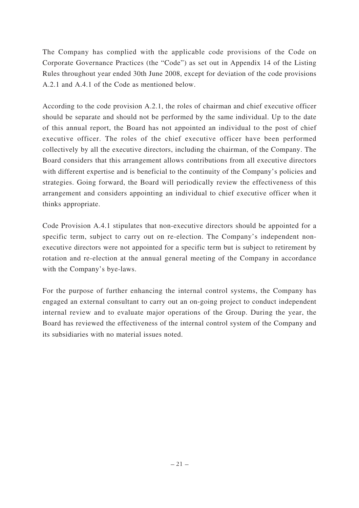The Company has complied with the applicable code provisions of the Code on Corporate Governance Practices (the "Code") as set out in Appendix 14 of the Listing Rules throughout year ended 30th June 2008, except for deviation of the code provisions A.2.1 and A.4.1 of the Code as mentioned below.

According to the code provision A.2.1, the roles of chairman and chief executive officer should be separate and should not be performed by the same individual. Up to the date of this annual report, the Board has not appointed an individual to the post of chief executive officer. The roles of the chief executive officer have been performed collectively by all the executive directors, including the chairman, of the Company. The Board considers that this arrangement allows contributions from all executive directors with different expertise and is beneficial to the continuity of the Company's policies and strategies. Going forward, the Board will periodically review the effectiveness of this arrangement and considers appointing an individual to chief executive officer when it thinks appropriate.

Code Provision A.4.1 stipulates that non-executive directors should be appointed for a specific term, subject to carry out on re-election. The Company's independent nonexecutive directors were not appointed for a specific term but is subject to retirement by rotation and re-election at the annual general meeting of the Company in accordance with the Company's bye-laws.

For the purpose of further enhancing the internal control systems, the Company has engaged an external consultant to carry out an on-going project to conduct independent internal review and to evaluate major operations of the Group. During the year, the Board has reviewed the effectiveness of the internal control system of the Company and its subsidiaries with no material issues noted.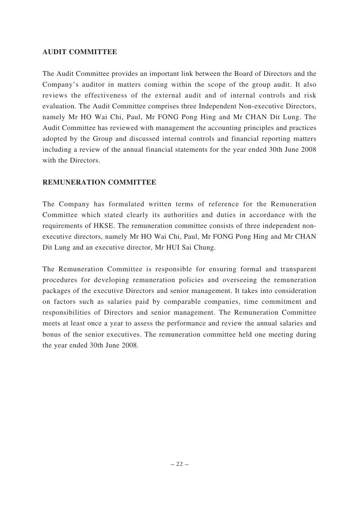### **AUDIT COMMITTEE**

The Audit Committee provides an important link between the Board of Directors and the Company's auditor in matters coming within the scope of the group audit. It also reviews the effectiveness of the external audit and of internal controls and risk evaluation. The Audit Committee comprises three Independent Non-executive Directors, namely Mr HO Wai Chi, Paul, Mr FONG Pong Hing and Mr CHAN Dit Lung. The Audit Committee has reviewed with management the accounting principles and practices adopted by the Group and discussed internal controls and financial reporting matters including a review of the annual financial statements for the year ended 30th June 2008 with the Directors.

### **REMUNERATION COMMITTEE**

The Company has formulated written terms of reference for the Remuneration Committee which stated clearly its authorities and duties in accordance with the requirements of HKSE. The remuneration committee consists of three independent nonexecutive directors, namely Mr HO Wai Chi, Paul, Mr FONG Pong Hing and Mr CHAN Dit Lung and an executive director, Mr HUI Sai Chung.

The Remuneration Committee is responsible for ensuring formal and transparent procedures for developing remuneration policies and overseeing the remuneration packages of the executive Directors and senior management. It takes into consideration on factors such as salaries paid by comparable companies, time commitment and responsibilities of Directors and senior management. The Remuneration Committee meets at least once a year to assess the performance and review the annual salaries and bonus of the senior executives. The remuneration committee held one meeting during the year ended 30th June 2008.